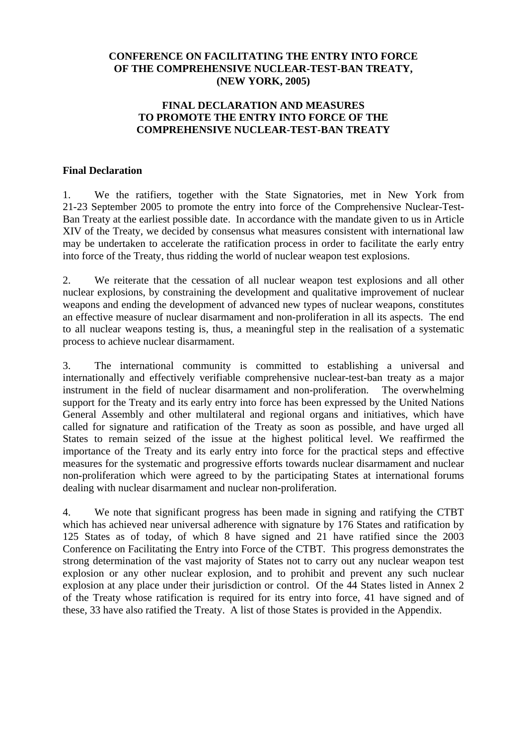# **CONFERENCE ON FACILITATING THE ENTRY INTO FORCE OF THE COMPREHENSIVE NUCLEAR-TEST-BAN TREATY, (NEW YORK, 2005)**

# **FINAL DECLARATION AND MEASURES TO PROMOTE THE ENTRY INTO FORCE OF THE COMPREHENSIVE NUCLEAR-TEST-BAN TREATY**

### **Final Declaration**

1. We the ratifiers, together with the State Signatories, met in New York from 21-23 September 2005 to promote the entry into force of the Comprehensive Nuclear-Test-Ban Treaty at the earliest possible date. In accordance with the mandate given to us in Article XIV of the Treaty, we decided by consensus what measures consistent with international law may be undertaken to accelerate the ratification process in order to facilitate the early entry into force of the Treaty, thus ridding the world of nuclear weapon test explosions.

2. We reiterate that the cessation of all nuclear weapon test explosions and all other nuclear explosions, by constraining the development and qualitative improvement of nuclear weapons and ending the development of advanced new types of nuclear weapons, constitutes an effective measure of nuclear disarmament and non-proliferation in all its aspects. The end to all nuclear weapons testing is, thus, a meaningful step in the realisation of a systematic process to achieve nuclear disarmament.

3. The international community is committed to establishing a universal and internationally and effectively verifiable comprehensive nuclear-test-ban treaty as a major instrument in the field of nuclear disarmament and non-proliferation. The overwhelming support for the Treaty and its early entry into force has been expressed by the United Nations General Assembly and other multilateral and regional organs and initiatives, which have called for signature and ratification of the Treaty as soon as possible, and have urged all States to remain seized of the issue at the highest political level. We reaffirmed the importance of the Treaty and its early entry into force for the practical steps and effective measures for the systematic and progressive efforts towards nuclear disarmament and nuclear non-proliferation which were agreed to by the participating States at international forums dealing with nuclear disarmament and nuclear non-proliferation.

4. We note that significant progress has been made in signing and ratifying the CTBT which has achieved near universal adherence with signature by 176 States and ratification by 125 States as of today, of which 8 have signed and 21 have ratified since the 2003 Conference on Facilitating the Entry into Force of the CTBT. This progress demonstrates the strong determination of the vast majority of States not to carry out any nuclear weapon test explosion or any other nuclear explosion, and to prohibit and prevent any such nuclear explosion at any place under their jurisdiction or control. Of the 44 States listed in Annex 2 of the Treaty whose ratification is required for its entry into force, 41 have signed and of these, 33 have also ratified the Treaty. A list of those States is provided in the Appendix.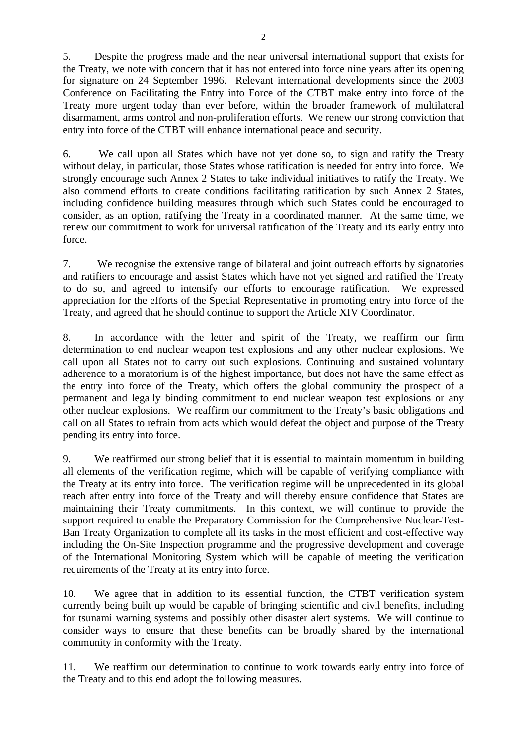5. Despite the progress made and the near universal international support that exists for the Treaty, we note with concern that it has not entered into force nine years after its opening for signature on 24 September 1996. Relevant international developments since the 2003 Conference on Facilitating the Entry into Force of the CTBT make entry into force of the Treaty more urgent today than ever before, within the broader framework of multilateral disarmament, arms control and non-proliferation efforts. We renew our strong conviction that entry into force of the CTBT will enhance international peace and security.

6. We call upon all States which have not yet done so, to sign and ratify the Treaty without delay, in particular, those States whose ratification is needed for entry into force. We strongly encourage such Annex 2 States to take individual initiatives to ratify the Treaty. We also commend efforts to create conditions facilitating ratification by such Annex 2 States, including confidence building measures through which such States could be encouraged to consider, as an option, ratifying the Treaty in a coordinated manner. At the same time, we renew our commitment to work for universal ratification of the Treaty and its early entry into force.

7. We recognise the extensive range of bilateral and joint outreach efforts by signatories and ratifiers to encourage and assist States which have not yet signed and ratified the Treaty to do so, and agreed to intensify our efforts to encourage ratification. We expressed appreciation for the efforts of the Special Representative in promoting entry into force of the Treaty, and agreed that he should continue to support the Article XIV Coordinator.

8. In accordance with the letter and spirit of the Treaty, we reaffirm our firm determination to end nuclear weapon test explosions and any other nuclear explosions. We call upon all States not to carry out such explosions. Continuing and sustained voluntary adherence to a moratorium is of the highest importance, but does not have the same effect as the entry into force of the Treaty, which offers the global community the prospect of a permanent and legally binding commitment to end nuclear weapon test explosions or any other nuclear explosions. We reaffirm our commitment to the Treaty's basic obligations and call on all States to refrain from acts which would defeat the object and purpose of the Treaty pending its entry into force.

9. We reaffirmed our strong belief that it is essential to maintain momentum in building all elements of the verification regime, which will be capable of verifying compliance with the Treaty at its entry into force. The verification regime will be unprecedented in its global reach after entry into force of the Treaty and will thereby ensure confidence that States are maintaining their Treaty commitments. In this context, we will continue to provide the support required to enable the Preparatory Commission for the Comprehensive Nuclear-Test-Ban Treaty Organization to complete all its tasks in the most efficient and cost-effective way including the On-Site Inspection programme and the progressive development and coverage of the International Monitoring System which will be capable of meeting the verification requirements of the Treaty at its entry into force.

10. We agree that in addition to its essential function, the CTBT verification system currently being built up would be capable of bringing scientific and civil benefits, including for tsunami warning systems and possibly other disaster alert systems. We will continue to consider ways to ensure that these benefits can be broadly shared by the international community in conformity with the Treaty.

11. We reaffirm our determination to continue to work towards early entry into force of the Treaty and to this end adopt the following measures.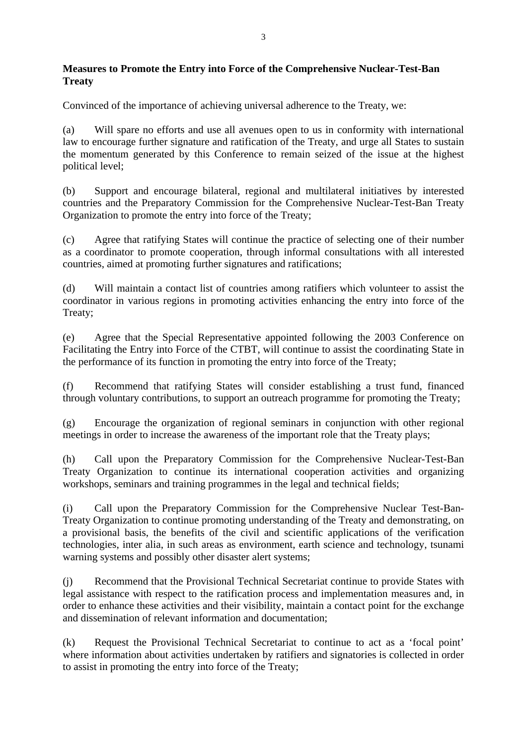# **Measures to Promote the Entry into Force of the Comprehensive Nuclear-Test-Ban Treaty**

Convinced of the importance of achieving universal adherence to the Treaty, we:

(a) Will spare no efforts and use all avenues open to us in conformity with international law to encourage further signature and ratification of the Treaty, and urge all States to sustain the momentum generated by this Conference to remain seized of the issue at the highest political level;

(b) Support and encourage bilateral, regional and multilateral initiatives by interested countries and the Preparatory Commission for the Comprehensive Nuclear-Test-Ban Treaty Organization to promote the entry into force of the Treaty;

(c) Agree that ratifying States will continue the practice of selecting one of their number as a coordinator to promote cooperation, through informal consultations with all interested countries, aimed at promoting further signatures and ratifications;

(d) Will maintain a contact list of countries among ratifiers which volunteer to assist the coordinator in various regions in promoting activities enhancing the entry into force of the Treaty;

(e) Agree that the Special Representative appointed following the 2003 Conference on Facilitating the Entry into Force of the CTBT, will continue to assist the coordinating State in the performance of its function in promoting the entry into force of the Treaty;

(f) Recommend that ratifying States will consider establishing a trust fund, financed through voluntary contributions, to support an outreach programme for promoting the Treaty;

(g) Encourage the organization of regional seminars in conjunction with other regional meetings in order to increase the awareness of the important role that the Treaty plays;

(h) Call upon the Preparatory Commission for the Comprehensive Nuclear-Test-Ban Treaty Organization to continue its international cooperation activities and organizing workshops, seminars and training programmes in the legal and technical fields;

(i) Call upon the Preparatory Commission for the Comprehensive Nuclear Test-Ban-Treaty Organization to continue promoting understanding of the Treaty and demonstrating, on a provisional basis, the benefits of the civil and scientific applications of the verification technologies, inter alia, in such areas as environment, earth science and technology, tsunami warning systems and possibly other disaster alert systems;

(j) Recommend that the Provisional Technical Secretariat continue to provide States with legal assistance with respect to the ratification process and implementation measures and, in order to enhance these activities and their visibility, maintain a contact point for the exchange and dissemination of relevant information and documentation;

(k) Request the Provisional Technical Secretariat to continue to act as a 'focal point' where information about activities undertaken by ratifiers and signatories is collected in order to assist in promoting the entry into force of the Treaty;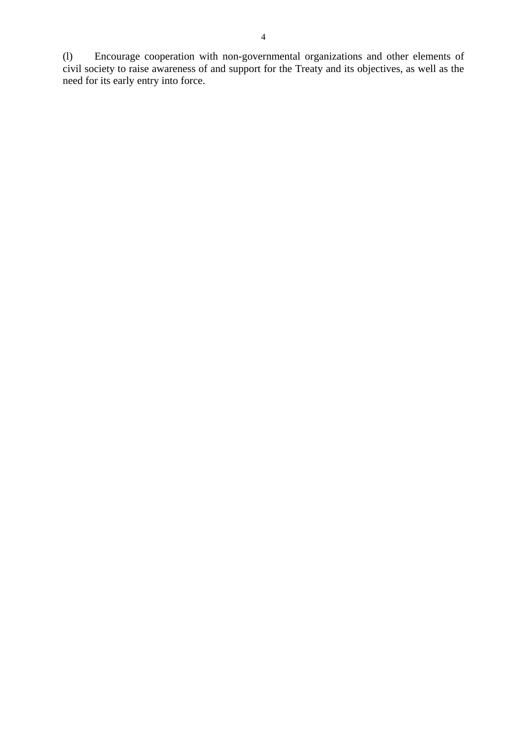(l) Encourage cooperation with non-governmental organizations and other elements of civil society to raise awareness of and support for the Treaty and its objectives, as well as the need for its early entry into force.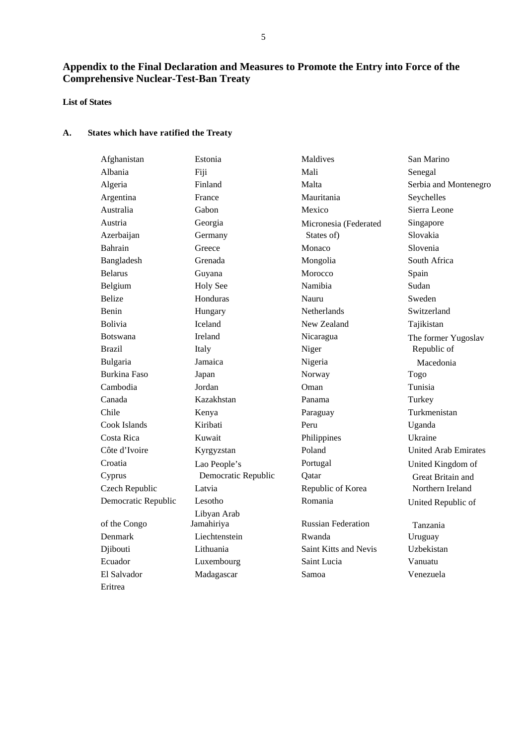# **Appendix to the Final Declaration and Measures to Promote the Entry into Force of the Comprehensive Nuclear-Test-Ban Treaty**

### **List of States**

### **A. States which have ratified the Treaty**

| Afghanistan         | Estonia             | Maldives                  | San Marino                  |
|---------------------|---------------------|---------------------------|-----------------------------|
| Albania             | Fiji                | Mali                      | Senegal                     |
| Algeria             | Finland             | Malta                     | Serbia and Montenegro       |
| Argentina           | France              | Mauritania                | Seychelles                  |
| Australia           | Gabon               | Mexico                    | Sierra Leone                |
| Austria             | Georgia             | Micronesia (Federated     | Singapore                   |
| Azerbaijan          | Germany             | States of)                | Slovakia                    |
| Bahrain             | Greece              | Monaco                    | Slovenia                    |
| Bangladesh          | Grenada             | Mongolia                  | South Africa                |
| <b>Belarus</b>      | Guyana              | Morocco                   | Spain                       |
| Belgium             | <b>Holy See</b>     | Namibia                   | Sudan                       |
| <b>Belize</b>       | Honduras            | Nauru                     | Sweden                      |
| Benin               | Hungary             | <b>Netherlands</b>        | Switzerland                 |
| <b>Bolivia</b>      | Iceland             | New Zealand               | Tajikistan                  |
| <b>Botswana</b>     | <b>Ireland</b>      | Nicaragua                 | The former Yugoslav         |
| <b>Brazil</b>       | Italy               | Niger                     | Republic of                 |
| Bulgaria            | Jamaica             | Nigeria                   | Macedonia                   |
| <b>Burkina Faso</b> | Japan               | Norway                    | Togo                        |
| Cambodia            | Jordan              | Oman                      | Tunisia                     |
| Canada              | Kazakhstan          | Panama                    | Turkey                      |
| Chile               | Kenya               | Paraguay                  | Turkmenistan                |
| Cook Islands        | Kiribati            | Peru                      | Uganda                      |
| Costa Rica          | Kuwait              | Philippines               | Ukraine                     |
| Côte d'Ivoire       | Kyrgyzstan          | Poland                    | <b>United Arab Emirates</b> |
| Croatia             | Lao People's        | Portugal                  | United Kingdom of           |
| Cyprus              | Democratic Republic | Qatar                     | Great Britain and           |
| Czech Republic      | Latvia              | Republic of Korea         | Northern Ireland            |
| Democratic Republic | Lesotho             | Romania                   | United Republic of          |
|                     | Libyan Arab         |                           |                             |
| of the Congo        | Jamahiriya          | <b>Russian Federation</b> | Tanzania                    |
| Denmark             | Liechtenstein       | Rwanda                    | Uruguay                     |
| Djibouti            | Lithuania           | Saint Kitts and Nevis     | Uzbekistan                  |
| Ecuador             | Luxembourg          | Saint Lucia               | Vanuatu                     |
| El Salvador         | Madagascar          | Samoa                     | Venezuela                   |
| Eritrea             |                     |                           |                             |